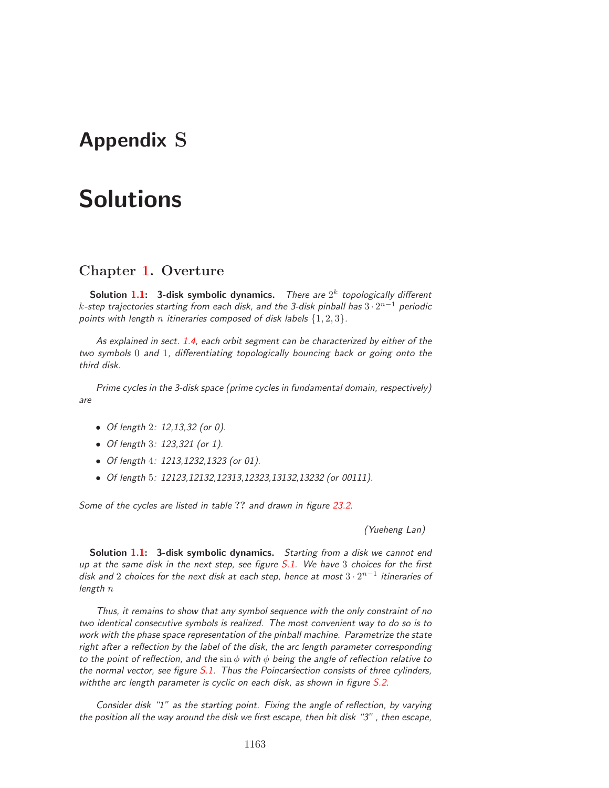## **Appendix S**

## **Solutions**

## **Chapter 1. Overture**

**Solution 1.1:** 3-disk symbolic dynamics. There are  $2^k$  topologically different k-step trajectories starting from each disk, and the 3-disk pinball has  $3 \cdot 2^{n-1}$  periodic points with length n itineraries composed of disk labels  $\{1,2,3\}$ .

As explained in sect. 1.4, each orbit segment can be characterized by either of the two symbols 0 and 1, differentiating topologically bouncing back or going onto the third disk.

Prime cycles in the 3-disk space (prime cycles in fundamental domain, respectively) are

- Of length 2: 12,13,32 (or 0).
- Of length 3: 123,321 (or 1).
- Of length 4: 1213,1232,1323 (or 01).
- Of length 5: 12123,12132,12313,12323,13132,13232 (or 00111).

Some of the cycles are listed in table **??** and drawn in figure 23.2.

(Yueheng Lan)

**Solution 1.1: 3-disk symbolic dynamics.** Starting from a disk we cannot end up at the same disk in the next step, see figure S.1. We have 3 choices for the first disk and 2 choices for the next disk at each step, hence at most  $3 \cdot 2^{n-1}$  itineraries of length  $n$ 

Thus, it remains to show that any symbol sequence with the only constraint of no two identical consecutive symbols is realized. The most convenient way to do so is to work with the phase space representation of the pinball machine. Parametrize the state right after a reflection by the label of the disk, the arc length parameter corresponding to the point of reflection, and the  $\sin \phi$  with  $\phi$  being the angle of reflection relative to the normal vector, see figure  $S.1$ . Thus the Poincar $\acute{s}$ ection consists of three cylinders, withthe arc length parameter is cyclic on each disk, as shown in figure S.2.

Consider disk "1" as the starting point. Fixing the angle of reflection, by varying the position all the way around the disk we first escape, then hit disk "3" , then escape,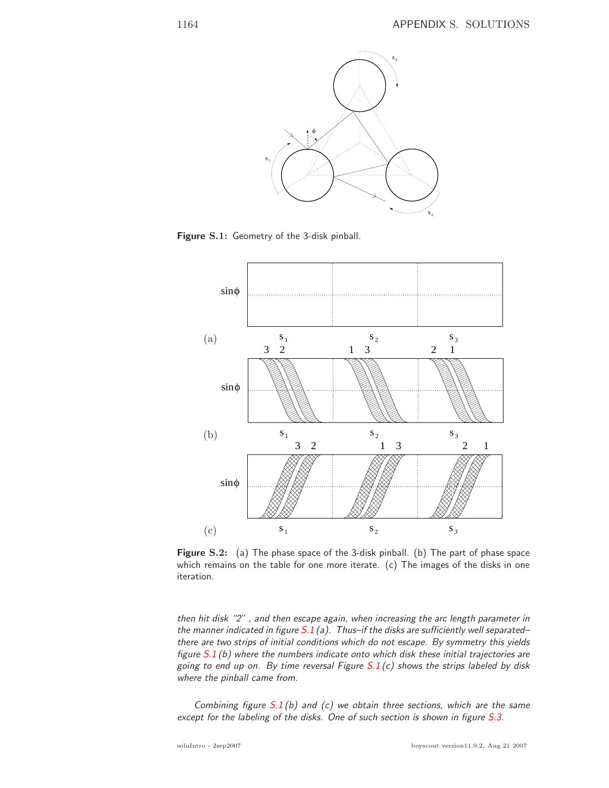

**Figure S.1:** Geometry of the 3-disk pinball.



**Figure S.2:** (a) The phase space of the 3-disk pinball. (b) The part of phase space which remains on the table for one more iterate. (c) The images of the disks in one iteration.

then hit disk "2" , and then escape again, when increasing the arc length parameter in the manner indicated in figure  $S.1$  (a). Thus-if the disks are sufficiently well separated– there are two strips of initial conditions which do not escape. By symmetry this yields figure  $S.1$  (b) where the numbers indicate onto which disk these initial trajectories are going to end up on. By time reversal Figure  $S.1(c)$  shows the strips labeled by disk where the pinball came from.

Combining figure  $S.1$  (b) and (c) we obtain three sections, which are the same except for the labeling of the disks. One of such section is shown in figure S.3.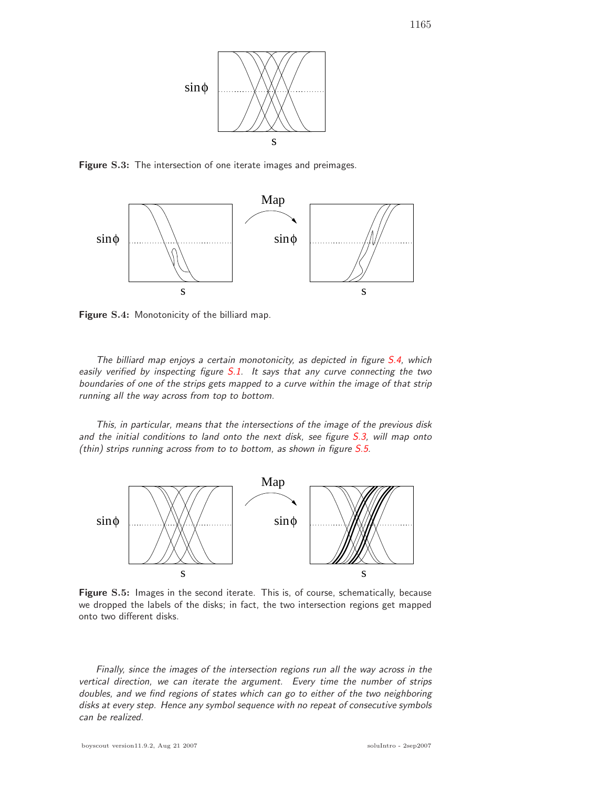

**Figure S.3:** The intersection of one iterate images and preimages.



**Figure S.4:** Monotonicity of the billiard map.

The billiard map enjoys a certain monotonicity, as depicted in figure S.4, which easily verified by inspecting figure  $S.1$ . It says that any curve connecting the two boundaries of one of the strips gets mapped to a curve within the image of that strip running all the way across from top to bottom.

This, in particular, means that the intersections of the image of the previous disk and the initial conditions to land onto the next disk, see figure S.3, will map onto (thin) strips running across from to to bottom, as shown in figure  $S.5$ .



**Figure S.5:** Images in the second iterate. This is, of course, schematically, because we dropped the labels of the disks; in fact, the two intersection regions get mapped onto two different disks.

Finally, since the images of the intersection regions run all the way across in the vertical direction, we can iterate the argument. Every time the number of strips doubles, and we find regions of states which can go to either of the two neighboring disks at every step. Hence any symbol sequence with no repeat of consecutive symbols can be realized.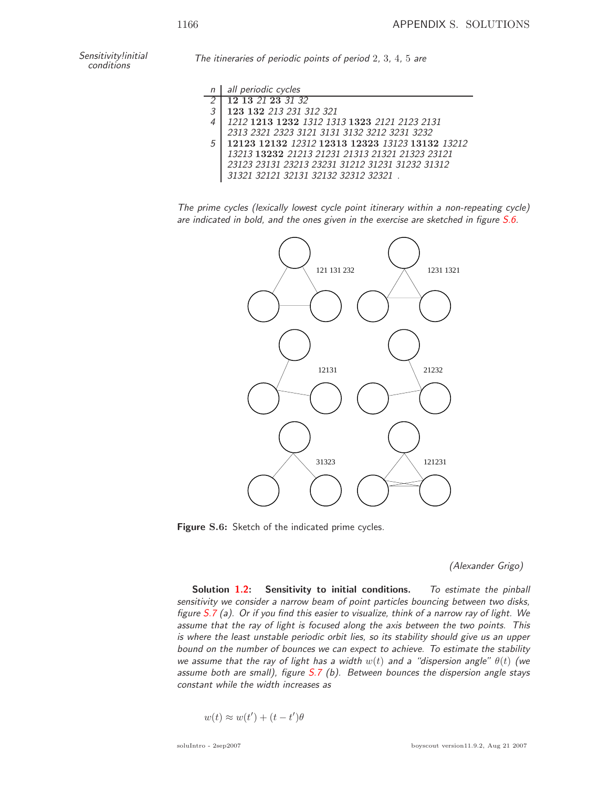Sensitivity!initial

The itineraries of periodic points of period  $2, 3, 4, 5$  are

|    | all periodic cycles                             |
|----|-------------------------------------------------|
|    | 12 13 21 23 31 32                               |
| -2 | 123 132 213 231 312 321                         |
|    | 1212 1213 1232 1312 1313 1323 2121 2123 2131    |
|    | 2313 2321 2323 3121 3131 3132 3212 3231 3232    |
| 5  | 12123 12132 12312 12313 12323 13123 13132 13212 |
|    | 13213 13232 21213 21231 21313 21321 21323 23121 |
|    | 23123 23131 23213 23231 31212 31231 31232 31312 |
|    | 31321 32121 32131 32132 32312 32321.            |

The prime cycles (lexically lowest cycle point itinerary within a non-repeating cycle) are indicated in bold, and the ones given in the exercise are sketched in figure S.6.



**Figure S.6:** Sketch of the indicated prime cycles.

## (Alexander Grigo)

**Solution 1.2: Sensitivity to initial conditions.** To estimate the pinball sensitivity we consider a narrow beam of point particles bouncing between two disks, figure  $S.7$  (a). Or if you find this easier to visualize, think of a narrow ray of light. We assume that the ray of light is focused along the axis between the two points. This is where the least unstable periodic orbit lies, so its stability should give us an upper bound on the number of bounces we can expect to achieve. To estimate the stability we assume that the ray of light has a width  $w(t)$  and a "dispersion angle"  $\theta(t)$  (we assume both are small), figure  $S.7$  (b). Between bounces the dispersion angle stays constant while the width increases as

$$
w(t) \approx w(t') + (t - t')\theta
$$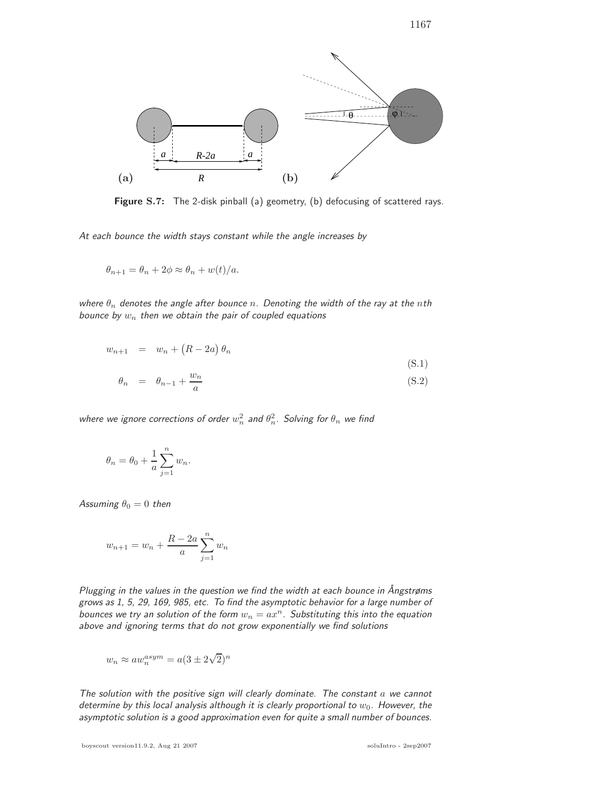

**Figure S.7:** The 2-disk pinball (a) geometry, (b) defocusing of scattered rays.

At each bounce the width stays constant while the angle increases by

$$
\theta_{n+1} = \theta_n + 2\phi \approx \theta_n + w(t)/a.
$$

where  $\theta_n$  denotes the angle after bounce n. Denoting the width of the ray at the nth bounce by  $w_n$  then we obtain the pair of coupled equations

$$
w_{n+1} = w_n + (R - 2a) \theta_n
$$
  
\n
$$
\theta_n = \theta_{n-1} + \frac{w_n}{a}
$$
  
\n(S.1)  
\n(S.2)

where we ignore corrections of order  $w_n^2$  and  $\theta_n^2$ . Solving for  $\theta_n$  we find

$$
\theta_n = \theta_0 + \frac{1}{a} \sum_{j=1}^n w_n.
$$

Assuming  $\theta_0 = 0$  then

$$
w_{n+1} = w_n + \frac{R - 2a}{a} \sum_{j=1}^{n} w_n
$$

Plugging in the values in the question we find the width at each bounce in Ångstrøms grows as 1, 5, 29, 169, 985, etc. To find the asymptotic behavior for a large number of bounces we try an solution of the form  $w_n = ax^n$ . Substituting this into the equation above and ignoring terms that do not grow exponentially we find solutions

$$
w_n \approx a w_n^{asym} = a(3 \pm 2\sqrt{2})^n
$$

The solution with the positive sign will clearly dominate. The constant  $a$  we cannot determine by this local analysis although it is clearly proportional to  $w_0$ . However, the asymptotic solution is a good approximation even for quite a small number of bounces.